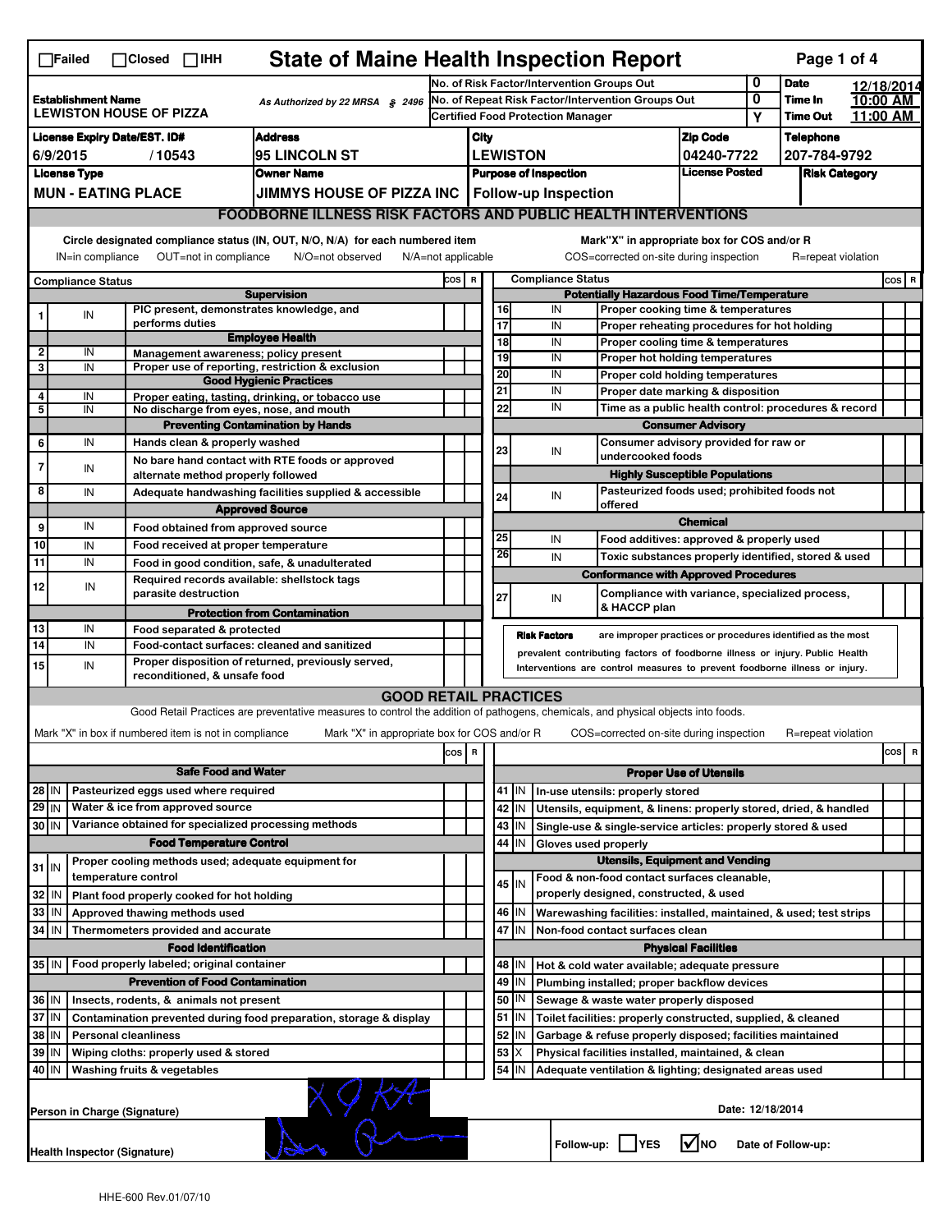|                                                                                                                                                                       | <b>State of Maine Health Inspection Report</b><br>Page 1 of 4<br>$\Box$ Failed<br>$\Box$ Closed $\Box$ IHH |  |                             |                                                       |                                                                                                                                                                   |                               |                                                    |                                                                                   |                 |                                                    |                                                                                               |                               |                      |                    |  |         |   |
|-----------------------------------------------------------------------------------------------------------------------------------------------------------------------|------------------------------------------------------------------------------------------------------------|--|-----------------------------|-------------------------------------------------------|-------------------------------------------------------------------------------------------------------------------------------------------------------------------|-------------------------------|----------------------------------------------------|-----------------------------------------------------------------------------------|-----------------|----------------------------------------------------|-----------------------------------------------------------------------------------------------|-------------------------------|----------------------|--------------------|--|---------|---|
|                                                                                                                                                                       |                                                                                                            |  |                             |                                                       | No. of Risk Factor/Intervention Groups Out                                                                                                                        |                               |                                                    |                                                                                   |                 |                                                    | 0                                                                                             | <b>Date</b>                   | 12/18/2014           |                    |  |         |   |
| <b>Establishment Name</b><br>As Authorized by 22 MRSA § 2496<br><b>LEWISTON HOUSE OF PIZZA</b>                                                                        |                                                                                                            |  |                             | No. of Repeat Risk Factor/Intervention Groups Out     |                                                                                                                                                                   |                               |                                                    |                                                                                   |                 | 0                                                  | Time In                                                                                       | 10:00 AM                      |                      |                    |  |         |   |
|                                                                                                                                                                       |                                                                                                            |  |                             |                                                       | <b>Certified Food Protection Manager</b>                                                                                                                          |                               |                                                    |                                                                                   |                 | Υ                                                  | Time Out                                                                                      | 11:00 AM                      |                      |                    |  |         |   |
| <b>Address</b><br><b>License Expiry Date/EST. ID#</b>                                                                                                                 |                                                                                                            |  |                             |                                                       |                                                                                                                                                                   | City                          |                                                    |                                                                                   | <b>Zip Code</b> |                                                    | <b>Telephone</b>                                                                              |                               |                      |                    |  |         |   |
| 95 LINCOLN ST<br>6/9/2015<br>/10543<br><b>Owner Name</b>                                                                                                              |                                                                                                            |  |                             |                                                       |                                                                                                                                                                   | <b>LEWISTON</b><br>04240-7722 |                                                    |                                                                                   |                 |                                                    | 207-784-9792                                                                                  |                               |                      |                    |  |         |   |
| <b>License Type</b>                                                                                                                                                   |                                                                                                            |  |                             |                                                       |                                                                                                                                                                   |                               | License Posted<br><b>Purpose of Inspection</b>     |                                                                                   |                 |                                                    |                                                                                               |                               | <b>Risk Category</b> |                    |  |         |   |
| <b>MUN - EATING PLACE</b><br>JIMMYS HOUSE OF PIZZA INC   Follow-up Inspection                                                                                         |                                                                                                            |  |                             |                                                       |                                                                                                                                                                   |                               |                                                    |                                                                                   |                 |                                                    |                                                                                               |                               |                      |                    |  |         |   |
| <b>FOODBORNE ILLNESS RISK FACTORS AND PUBLIC HEALTH INTERVENTIONS</b>                                                                                                 |                                                                                                            |  |                             |                                                       |                                                                                                                                                                   |                               |                                                    |                                                                                   |                 |                                                    |                                                                                               |                               |                      |                    |  |         |   |
| Circle designated compliance status (IN, OUT, N/O, N/A) for each numbered item<br>IN=in compliance<br>OUT=not in compliance<br>N/O=not observed<br>N/A=not applicable |                                                                                                            |  |                             |                                                       |                                                                                                                                                                   |                               |                                                    |                                                                                   |                 |                                                    | Mark"X" in appropriate box for COS and/or R<br>COS=corrected on-site during inspection        |                               |                      | R=repeat violation |  |         |   |
| <b>Compliance Status</b>                                                                                                                                              |                                                                                                            |  |                             |                                                       |                                                                                                                                                                   | COS R                         |                                                    |                                                                                   |                 | <b>Compliance Status</b>                           |                                                                                               |                               |                      |                    |  | $cos$ R |   |
| <b>Supervision</b>                                                                                                                                                    |                                                                                                            |  |                             |                                                       |                                                                                                                                                                   |                               | <b>Potentially Hazardous Food Time/Temperature</b> |                                                                                   |                 |                                                    |                                                                                               |                               |                      |                    |  |         |   |
|                                                                                                                                                                       | IN                                                                                                         |  |                             |                                                       | PIC present, demonstrates knowledge, and                                                                                                                          |                               |                                                    | 16                                                                                |                 | IN                                                 | Proper cooking time & temperatures                                                            |                               |                      |                    |  |         |   |
|                                                                                                                                                                       |                                                                                                            |  | performs duties             |                                                       | <b>Employee Health</b>                                                                                                                                            |                               |                                                    | $\overline{17}$<br>$\overline{18}$                                                |                 | IN<br>IN                                           | Proper reheating procedures for hot holding                                                   |                               |                      |                    |  |         |   |
| 2                                                                                                                                                                     | IN                                                                                                         |  |                             |                                                       | Management awareness; policy present                                                                                                                              |                               |                                                    | Proper cooling time & temperatures<br>19<br>IN<br>Proper hot holding temperatures |                 |                                                    |                                                                                               |                               |                      |                    |  |         |   |
| 3                                                                                                                                                                     | IN                                                                                                         |  |                             |                                                       | Proper use of reporting, restriction & exclusion                                                                                                                  |                               |                                                    | 20                                                                                |                 | IN                                                 | Proper cold holding temperatures                                                              |                               |                      |                    |  |         |   |
|                                                                                                                                                                       |                                                                                                            |  |                             |                                                       | <b>Good Hygienic Practices</b>                                                                                                                                    |                               |                                                    | 21                                                                                |                 | IN                                                 | Proper date marking & disposition                                                             |                               |                      |                    |  |         |   |
| 4<br>5                                                                                                                                                                | IN<br>IN                                                                                                   |  |                             |                                                       | Proper eating, tasting, drinking, or tobacco use<br>No discharge from eyes, nose, and mouth                                                                       |                               |                                                    | 22                                                                                |                 | IN                                                 | Time as a public health control: procedures & record                                          |                               |                      |                    |  |         |   |
|                                                                                                                                                                       |                                                                                                            |  |                             |                                                       | <b>Preventing Contamination by Hands</b>                                                                                                                          |                               |                                                    | <b>Consumer Advisory</b>                                                          |                 |                                                    |                                                                                               |                               |                      |                    |  |         |   |
| 6                                                                                                                                                                     | IN                                                                                                         |  |                             | Hands clean & properly washed                         |                                                                                                                                                                   |                               |                                                    | Consumer advisory provided for raw or                                             |                 |                                                    |                                                                                               |                               |                      |                    |  |         |   |
|                                                                                                                                                                       |                                                                                                            |  |                             |                                                       | No bare hand contact with RTE foods or approved                                                                                                                   |                               |                                                    | 23                                                                                |                 | IN                                                 | undercooked foods                                                                             |                               |                      |                    |  |         |   |
| 7                                                                                                                                                                     | IN                                                                                                         |  |                             | alternate method properly followed                    |                                                                                                                                                                   |                               |                                                    |                                                                                   |                 |                                                    | <b>Highly Susceptible Populations</b>                                                         |                               |                      |                    |  |         |   |
| 8                                                                                                                                                                     | IN                                                                                                         |  |                             |                                                       | Adequate handwashing facilities supplied & accessible                                                                                                             |                               |                                                    | 24                                                                                |                 | Pasteurized foods used; prohibited foods not<br>IN |                                                                                               |                               |                      |                    |  |         |   |
|                                                                                                                                                                       |                                                                                                            |  | <b>Approved Source</b>      |                                                       |                                                                                                                                                                   |                               |                                                    | offered                                                                           |                 |                                                    |                                                                                               |                               |                      |                    |  |         |   |
| 9                                                                                                                                                                     | IN                                                                                                         |  |                             |                                                       | Food obtained from approved source                                                                                                                                |                               |                                                    |                                                                                   |                 |                                                    |                                                                                               | <b>Chemical</b>               |                      |                    |  |         |   |
| 10                                                                                                                                                                    | IN                                                                                                         |  |                             |                                                       | Food received at proper temperature                                                                                                                               |                               |                                                    | 25                                                                                |                 | IN                                                 | Food additives: approved & properly used                                                      |                               |                      |                    |  |         |   |
| 11                                                                                                                                                                    | IN                                                                                                         |  |                             |                                                       | Food in good condition, safe, & unadulterated                                                                                                                     |                               |                                                    | 26                                                                                |                 | IN                                                 | Toxic substances properly identified, stored & used                                           |                               |                      |                    |  |         |   |
| 12                                                                                                                                                                    | IN                                                                                                         |  |                             | parasite destruction                                  | Required records available: shellstock tags                                                                                                                       |                               |                                                    | 27                                                                                |                 | IN                                                 | <b>Conformance with Approved Procedures</b><br>Compliance with variance, specialized process, |                               |                      |                    |  |         |   |
|                                                                                                                                                                       |                                                                                                            |  |                             |                                                       | <b>Protection from Contamination</b>                                                                                                                              |                               |                                                    |                                                                                   |                 |                                                    | & HACCP plan                                                                                  |                               |                      |                    |  |         |   |
| 13                                                                                                                                                                    | IN                                                                                                         |  |                             | Food separated & protected                            |                                                                                                                                                                   |                               |                                                    |                                                                                   |                 | <b>Risk Factors</b>                                | are improper practices or procedures identified as the most                                   |                               |                      |                    |  |         |   |
| 14<br>IN<br>Food-contact surfaces: cleaned and sanitized                                                                                                              |                                                                                                            |  |                             |                                                       |                                                                                                                                                                   |                               |                                                    |                                                                                   |                 |                                                    | prevalent contributing factors of foodborne illness or injury. Public Health                  |                               |                      |                    |  |         |   |
| 15                                                                                                                                                                    | IN                                                                                                         |  |                             | reconditioned, & unsafe food                          | Proper disposition of returned, previously served,                                                                                                                |                               |                                                    |                                                                                   |                 |                                                    | Interventions are control measures to prevent foodborne illness or injury.                    |                               |                      |                    |  |         |   |
|                                                                                                                                                                       |                                                                                                            |  |                             |                                                       |                                                                                                                                                                   |                               |                                                    |                                                                                   |                 |                                                    |                                                                                               |                               |                      |                    |  |         |   |
|                                                                                                                                                                       |                                                                                                            |  |                             |                                                       | <b>GOOD RETAIL PRACTICES</b><br>Good Retail Practices are preventative measures to control the addition of pathogens, chemicals, and physical objects into foods. |                               |                                                    |                                                                                   |                 |                                                    |                                                                                               |                               |                      |                    |  |         |   |
|                                                                                                                                                                       |                                                                                                            |  |                             |                                                       |                                                                                                                                                                   |                               |                                                    |                                                                                   |                 |                                                    |                                                                                               |                               |                      |                    |  |         |   |
|                                                                                                                                                                       |                                                                                                            |  |                             | Mark "X" in box if numbered item is not in compliance | Mark "X" in appropriate box for COS and/or R                                                                                                                      |                               |                                                    |                                                                                   |                 |                                                    | COS=corrected on-site during inspection                                                       |                               |                      | R=repeat violation |  |         |   |
|                                                                                                                                                                       |                                                                                                            |  |                             |                                                       |                                                                                                                                                                   | $\cos$                        | R                                                  |                                                                                   |                 |                                                    |                                                                                               |                               |                      |                    |  | cos     | R |
|                                                                                                                                                                       |                                                                                                            |  |                             | <b>Safe Food and Water</b>                            |                                                                                                                                                                   |                               |                                                    |                                                                                   |                 |                                                    |                                                                                               | <b>Proper Use of Utensils</b> |                      |                    |  |         |   |
| 28 IN                                                                                                                                                                 |                                                                                                            |  |                             | Pasteurized eggs used where required                  |                                                                                                                                                                   |                               |                                                    |                                                                                   | 41 J IN         |                                                    | In-use utensils: properly stored                                                              |                               |                      |                    |  |         |   |
| 29 IN                                                                                                                                                                 |                                                                                                            |  |                             | Water & ice from approved source                      |                                                                                                                                                                   |                               |                                                    |                                                                                   | 42   IN         |                                                    | Utensils, equipment, & linens: properly stored, dried, & handled                              |                               |                      |                    |  |         |   |
| 30 IN                                                                                                                                                                 |                                                                                                            |  |                             |                                                       | Variance obtained for specialized processing methods                                                                                                              |                               |                                                    |                                                                                   | 43   IN         |                                                    | Single-use & single-service articles: properly stored & used                                  |                               |                      |                    |  |         |   |
|                                                                                                                                                                       |                                                                                                            |  |                             | <b>Food Temperature Control</b>                       |                                                                                                                                                                   |                               |                                                    | 44                                                                                | İIN             | Gloves used properly                               |                                                                                               |                               |                      |                    |  |         |   |
| $31$ M                                                                                                                                                                |                                                                                                            |  |                             |                                                       | Proper cooling methods used; adequate equipment for                                                                                                               |                               |                                                    |                                                                                   |                 |                                                    | <b>Utensils, Equipment and Vending</b>                                                        |                               |                      |                    |  |         |   |
|                                                                                                                                                                       |                                                                                                            |  | temperature control         |                                                       |                                                                                                                                                                   |                               |                                                    |                                                                                   | 45 IN           |                                                    | Food & non-food contact surfaces cleanable,                                                   |                               |                      |                    |  |         |   |
| 32                                                                                                                                                                    | IN                                                                                                         |  |                             | Plant food properly cooked for hot holding            |                                                                                                                                                                   |                               |                                                    |                                                                                   |                 |                                                    | properly designed, constructed, & used                                                        |                               |                      |                    |  |         |   |
| 33                                                                                                                                                                    | l IN                                                                                                       |  |                             | Approved thawing methods used                         |                                                                                                                                                                   |                               |                                                    |                                                                                   | 46 IN           |                                                    | Warewashing facilities: installed, maintained, & used; test strips                            |                               |                      |                    |  |         |   |
| 34 IN                                                                                                                                                                 |                                                                                                            |  |                             | Thermometers provided and accurate                    |                                                                                                                                                                   |                               |                                                    | 47                                                                                | İΙN             |                                                    | Non-food contact surfaces clean                                                               |                               |                      |                    |  |         |   |
|                                                                                                                                                                       |                                                                                                            |  |                             | <b>Food Identification</b>                            |                                                                                                                                                                   |                               |                                                    |                                                                                   |                 |                                                    |                                                                                               | <b>Physical Facilities</b>    |                      |                    |  |         |   |
|                                                                                                                                                                       |                                                                                                            |  |                             | 35 IN   Food properly labeled; original container     |                                                                                                                                                                   |                               |                                                    |                                                                                   | 48   IN         |                                                    | Hot & cold water available; adequate pressure                                                 |                               |                      |                    |  |         |   |
|                                                                                                                                                                       |                                                                                                            |  |                             | <b>Prevention of Food Contamination</b>               |                                                                                                                                                                   |                               |                                                    |                                                                                   | 49   IN         |                                                    | Plumbing installed; proper backflow devices                                                   |                               |                      |                    |  |         |   |
|                                                                                                                                                                       | 36 IN<br>Insects, rodents, & animals not present                                                           |  |                             |                                                       |                                                                                                                                                                   |                               |                                                    |                                                                                   | 50   IN         |                                                    | Sewage & waste water properly disposed                                                        |                               |                      |                    |  |         |   |
|                                                                                                                                                                       | $37$ IN<br>Contamination prevented during food preparation, storage & display                              |  |                             |                                                       |                                                                                                                                                                   |                               |                                                    |                                                                                   | 51   IN         |                                                    | Toilet facilities: properly constructed, supplied, & cleaned                                  |                               |                      |                    |  |         |   |
|                                                                                                                                                                       | 38 IN<br><b>Personal cleanliness</b>                                                                       |  |                             |                                                       |                                                                                                                                                                   |                               |                                                    |                                                                                   | 52 IN           |                                                    | Garbage & refuse properly disposed; facilities maintained                                     |                               |                      |                    |  |         |   |
|                                                                                                                                                                       | 39 IN<br>Wiping cloths: properly used & stored                                                             |  |                             |                                                       |                                                                                                                                                                   |                               |                                                    |                                                                                   | 53   X          |                                                    | Physical facilities installed, maintained, & clean                                            |                               |                      |                    |  |         |   |
| 40 IN                                                                                                                                                                 |                                                                                                            |  | Washing fruits & vegetables |                                                       |                                                                                                                                                                   |                               |                                                    |                                                                                   | 54   IN         |                                                    | Adequate ventilation & lighting; designated areas used                                        |                               |                      |                    |  |         |   |
|                                                                                                                                                                       | $\frac{14}{9}$<br>Date: 12/18/2014<br>Person in Charge (Signature)                                         |  |                             |                                                       |                                                                                                                                                                   |                               |                                                    |                                                                                   |                 |                                                    |                                                                                               |                               |                      |                    |  |         |   |
|                                                                                                                                                                       | $\sqrt{ }$ NO<br>Follow-up:     YES<br>Date of Follow-up:<br>Health Inspector (Signature)                  |  |                             |                                                       |                                                                                                                                                                   |                               |                                                    |                                                                                   |                 |                                                    |                                                                                               |                               |                      |                    |  |         |   |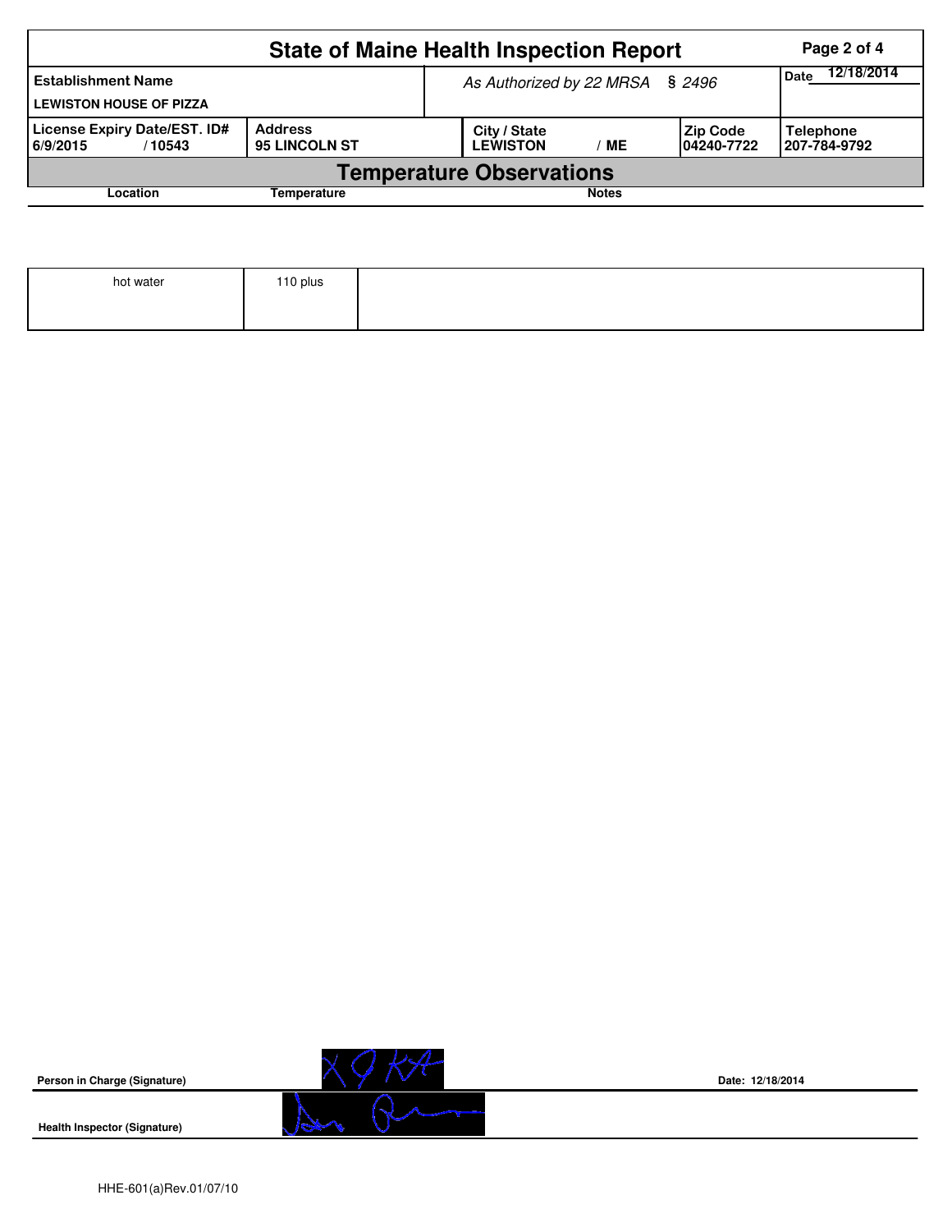|                                                                                             | Page 2 of 4 |  |                                 |                                  |  |  |  |  |  |  |  |
|---------------------------------------------------------------------------------------------|-------------|--|---------------------------------|----------------------------------|--|--|--|--|--|--|--|
| <b>Establishment Name</b><br><b>LEWISTON HOUSE OF PIZZA</b>                                 |             |  | As Authorized by 22 MRSA § 2496 | 12/18/2014<br>Date               |  |  |  |  |  |  |  |
| License Expiry Date/EST. ID#<br><b>Address</b><br><b>95 LINCOLN ST</b><br>6/9/2015<br>10543 |             |  | City / State<br><b>LEWISTON</b> | <b>Telephone</b><br>207-784-9792 |  |  |  |  |  |  |  |
| <b>Temperature Observations</b>                                                             |             |  |                                 |                                  |  |  |  |  |  |  |  |
| Location                                                                                    | Temperature |  |                                 | <b>Notes</b>                     |  |  |  |  |  |  |  |

|  | 110 plus |
|--|----------|
|  |          |
|  |          |



**Date: 12/18/2014**

**Health Inspector (Signature)**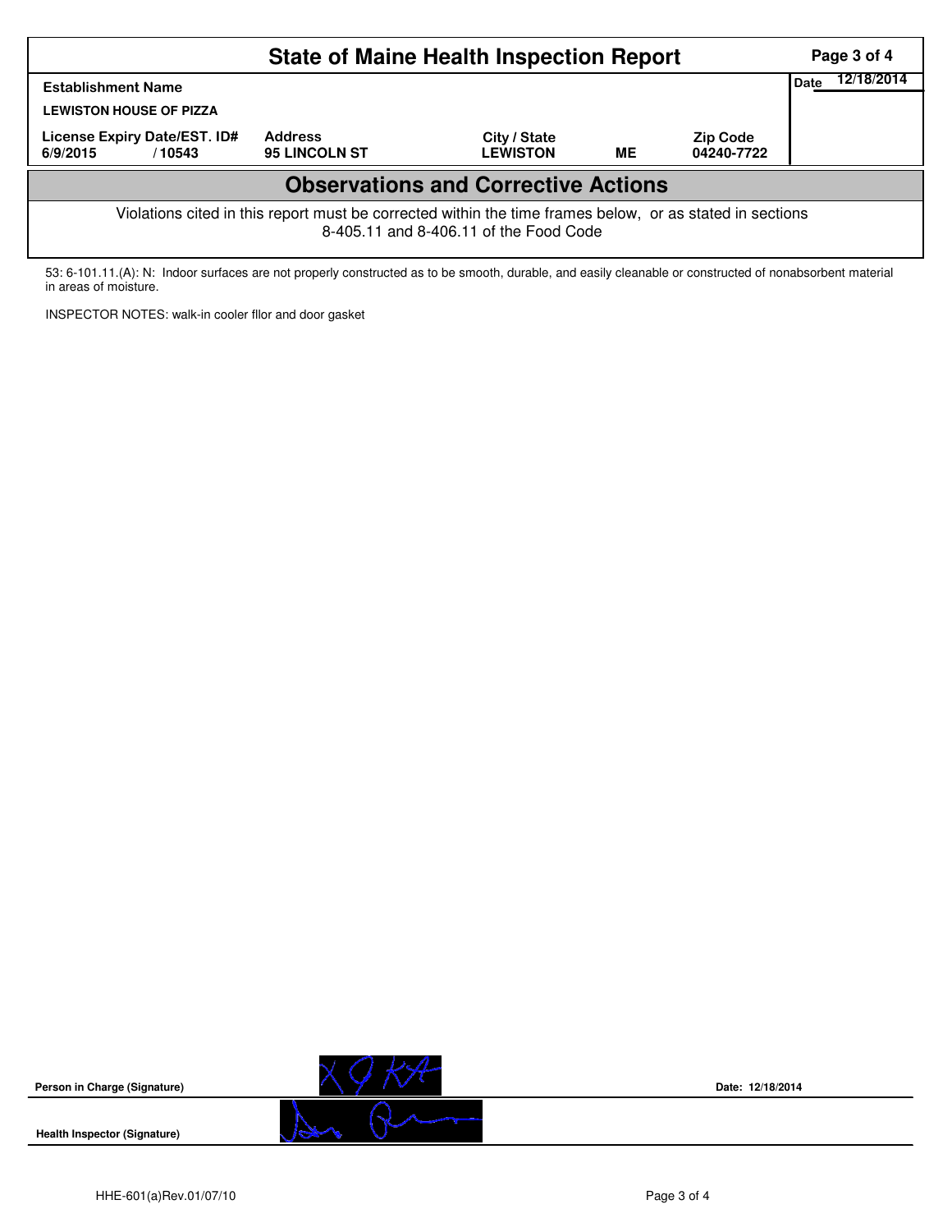| <b>State of Maine Health Inspection Report</b><br>Page 3 of 4                                                                                      |                                        |                                 |           |                               |  |  |  |  |  |  |  |
|----------------------------------------------------------------------------------------------------------------------------------------------------|----------------------------------------|---------------------------------|-----------|-------------------------------|--|--|--|--|--|--|--|
| 12/18/2014<br><b>Date</b><br><b>Establishment Name</b><br><b>LEWISTON HOUSE OF PIZZA</b>                                                           |                                        |                                 |           |                               |  |  |  |  |  |  |  |
| License Expiry Date/EST. ID#<br>6/9/2015<br>/10543                                                                                                 | <b>Address</b><br><b>95 LINCOLN ST</b> | City / State<br><b>LEWISTON</b> | <b>ME</b> | <b>Zip Code</b><br>04240-7722 |  |  |  |  |  |  |  |
| <b>Observations and Corrective Actions</b>                                                                                                         |                                        |                                 |           |                               |  |  |  |  |  |  |  |
| Violations cited in this report must be corrected within the time frames below, or as stated in sections<br>8-405.11 and 8-406.11 of the Food Code |                                        |                                 |           |                               |  |  |  |  |  |  |  |

53: 6-101.11.(A): N: Indoor surfaces are not properly constructed as to be smooth, durable, and easily cleanable or constructed of nonabsorbent material in areas of moisture.

INSPECTOR NOTES: walk-in cooler fllor and door gasket



**Date: 12/18/2014**

**Health Inspector (Signature)**